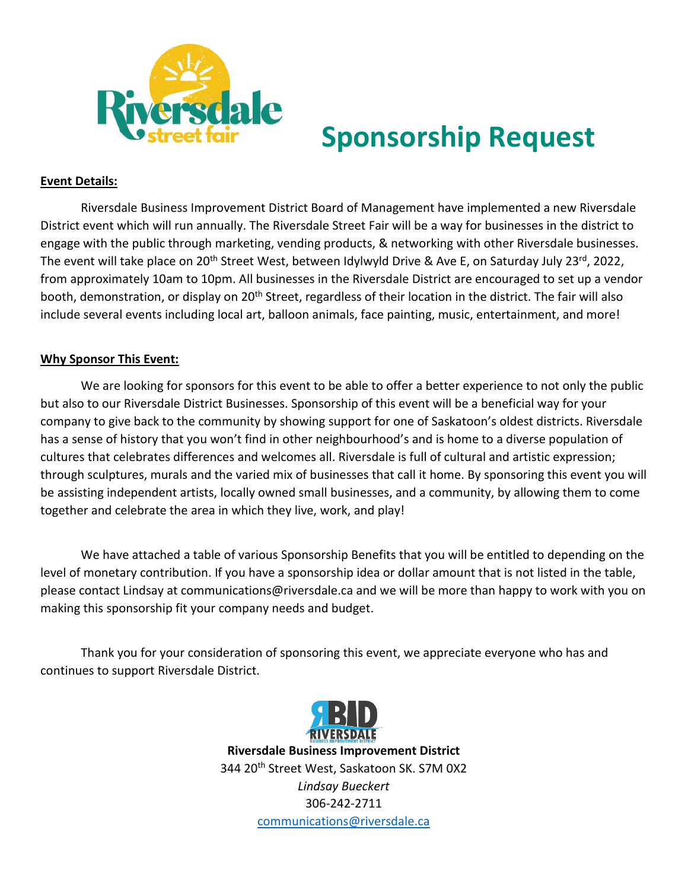

## **Sponsorship Request**

## **Event Details:**

Riversdale Business Improvement District Board of Management have implemented a new Riversdale District event which will run annually. The Riversdale Street Fair will be a way for businesses in the district to engage with the public through marketing, vending products, & networking with other Riversdale businesses. The event will take place on 20<sup>th</sup> Street West, between Idylwyld Drive & Ave E, on Saturday July 23<sup>rd</sup>, 2022, from approximately 10am to 10pm. All businesses in the Riversdale District are encouraged to set up a vendor booth, demonstration, or display on 20<sup>th</sup> Street, regardless of their location in the district. The fair will also include several events including local art, balloon animals, face painting, music, entertainment, and more!

## **Why Sponsor This Event:**

We are looking for sponsors for this event to be able to offer a better experience to not only the public but also to our Riversdale District Businesses. Sponsorship of this event will be a beneficial way for your company to give back to the community by showing support for one of Saskatoon's oldest districts. Riversdale has a sense of history that you won't find in other neighbourhood's and is home to a diverse population of cultures that celebrates differences and welcomes all. Riversdale is full of cultural and artistic expression; through sculptures, murals and the varied mix of businesses that call it home. By sponsoring this event you will be assisting independent artists, locally owned small businesses, and a community, by allowing them to come together and celebrate the area in which they live, work, and play!

We have attached a table of various Sponsorship Benefits that you will be entitled to depending on the level of monetary contribution. If you have a sponsorship idea or dollar amount that is not listed in the table, please contact Lindsay at communications@riversdale.ca and we will be more than happy to work with you on making this sponsorship fit your company needs and budget.

Thank you for your consideration of sponsoring this event, we appreciate everyone who has and continues to support Riversdale District.



**Riversdale Business Improvement District** 344 20<sup>th</sup> Street West, Saskatoon SK. S7M 0X2 *Lindsay Bueckert* 306-242-2711 [communications@riversdale.ca](mailto:communications@riversdale.ca)